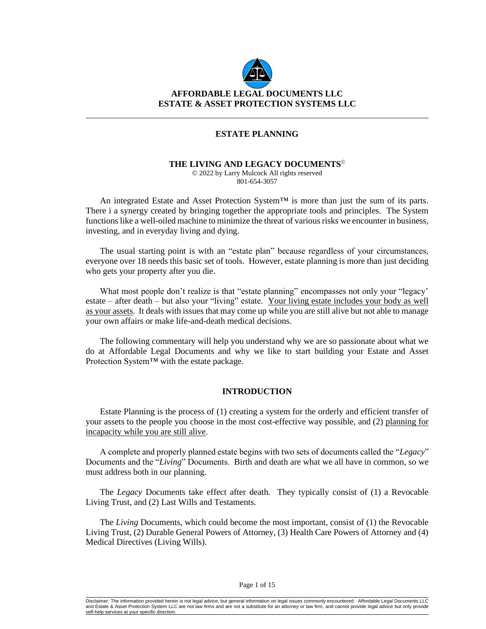

### **ESTATE PLANNING**

#### **THE LIVING AND LEGACY DOCUMENTS**©

© 2022 by Larry Mulcock All rights reserved 801-654-3057

An integrated Estate and Asset Protection System™ is more than just the sum of its parts. There i a synergy created by bringing together the appropriate tools and principles. The System functions like a well-oiled machine to minimize the threat of various risks we encounter in business, investing, and in everyday living and dying.

The usual starting point is with an "estate plan" because regardless of your circumstances, everyone over 18 needs this basic set of tools. However, estate planning is more than just deciding who gets your property after you die.

What most people don't realize is that "estate planning" encompasses not only your "legacy' estate – after death – but also your "living" estate. Your living estate includes your body as well as your assets. It deals with issues that may come up while you are still alive but not able to manage your own affairs or make life-and-death medical decisions.

The following commentary will help you understand why we are so passionate about what we do at Affordable Legal Documents and why we like to start building your Estate and Asset Protection System™ with the estate package.

#### **INTRODUCTION**

Estate Planning is the process of (1) creating a system for the orderly and efficient transfer of your assets to the people you choose in the most cost-effective way possible, and (2) planning for incapacity while you are still alive.

A complete and properly planned estate begins with two sets of documents called the "*Legacy*" Documents and the "*Living*" Documents. Birth and death are what we all have in common, so we must address both in our planning.

The *Legacy* Documents take effect after death. They typically consist of (1) a Revocable Living Trust, and (2) Last Wills and Testaments.

The *Living* Documents, which could become the most important, consist of (1) the Revocable Living Trust, (2) Durable General Powers of Attorney, (3) Health Care Powers of Attorney and (4) Medical Directives (Living Wills).

Disclaimer: The information provided herein is not legal advice, but general information on legal issues commonly encountered. Affordable Legal Documents LLC and Estate & Asset Protection System LLC are not law firms and are not a substitute for an attorney or law firm, and cannot provide legal advice but only provide self-help services at your specific dire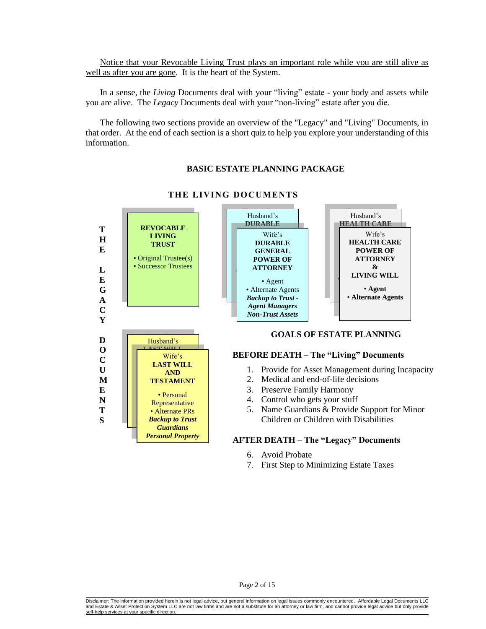Notice that your Revocable Living Trust plays an important role while you are still alive as well as after you are gone. It is the heart of the System.

In a sense, the *Living* Documents deal with your "living" estate - your body and assets while you are alive. The *Legacy* Documents deal with your "non-living" estate after you die.

The following two sections provide an overview of the "Legacy" and "Living" Documents, in that order. At the end of each section is a short quiz to help you explore your understanding of this information.

# **BASIC ESTATE PLANNING PACKAGE**



## **THE LIVING DOCUMENTS**

- 6. Avoid Probate
- 7. First Step to Minimizing Estate Taxes

Disclaimer: The information provided herein is not legal advice, but general information on legal issues commonly encountered. Affordable Legal Documents LLC and Estate & Asset Protection System LLC are not law firms and are not a substitute for an attorney or law firm, and cannot provide legal advice but only provide self-help services at your specific dire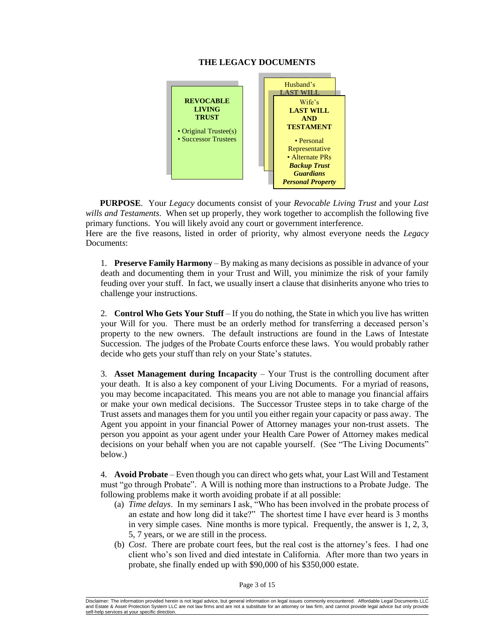## **THE LEGACY DOCUMENTS**



**PURPOSE**. Your *Legacy* documents consist of your *Revocable Living Trust* and your *Last wills and Testaments*. When set up properly, they work together to accomplish the following five primary functions. You will likely avoid any court or government interference.

Here are the five reasons, listed in order of priority, why almost everyone needs the *Legacy* Document*s*:

1. **Preserve Family Harmony** – By making as many decisions as possible in advance of your death and documenting them in your Trust and Will, you minimize the risk of your family feuding over your stuff. In fact, we usually insert a clause that disinherits anyone who tries to challenge your instructions.

2. **Control Who Gets Your Stuff** – If you do nothing, the State in which you live has written your Will for you. There must be an orderly method for transferring a deceased person's property to the new owners. The default instructions are found in the Laws of Intestate Succession. The judges of the Probate Courts enforce these laws. You would probably rather decide who gets your stuff than rely on your State's statutes.

3. **Asset Management during Incapacity** – Your Trust is the controlling document after your death. It is also a key component of your Living Documents. For a myriad of reasons, you may become incapacitated. This means you are not able to manage you financial affairs or make your own medical decisions. The Successor Trustee steps in to take charge of the Trust assets and manages them for you until you either regain your capacity or pass away. The Agent you appoint in your financial Power of Attorney manages your non-trust assets. The person you appoint as your agent under your Health Care Power of Attorney makes medical decisions on your behalf when you are not capable yourself. (See "The Living Documents" below.)

4. **Avoid Probate** – Even though you can direct who gets what, your Last Will and Testament must "go through Probate". A Will is nothing more than instructions to a Probate Judge. The following problems make it worth avoiding probate if at all possible:

- (a) *Time delays*. In my seminars I ask, "Who has been involved in the probate process of an estate and how long did it take?" The shortest time I have ever heard is 3 months in very simple cases. Nine months is more typical. Frequently, the answer is 1, 2, 3, 5, 7 years, or we are still in the process.
- (b) *Cost*. There are probate court fees, but the real cost is the attorney's fees. I had one client who's son lived and died intestate in California. After more than two years in probate, she finally ended up with \$90,000 of his \$350,000 estate.

Page 3 of 15

Disclaimer: The information provided herein is not legal advice, but general information on legal issues commonly encountered. Affordable Legal Documents LLC and Estate & Asset Protection System LLC are not law firms and are not a substitute for an attorney or law firm, and cannot provide legal advice but only provide<br>self-help services at your specific direction. self-help services at your specific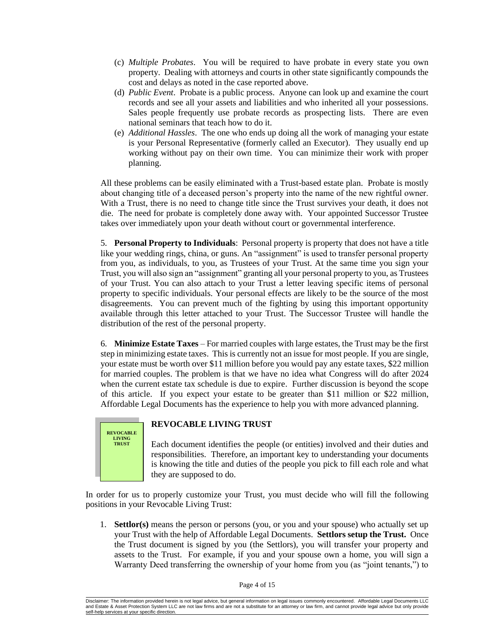- (c) *Multiple Probates*. You will be required to have probate in every state you own property. Dealing with attorneys and courts in other state significantly compounds the cost and delays as noted in the case reported above.
- (d) *Public Event*. Probate is a public process. Anyone can look up and examine the court records and see all your assets and liabilities and who inherited all your possessions. Sales people frequently use probate records as prospecting lists. There are even national seminars that teach how to do it.
- (e) *Additional Hassles*. The one who ends up doing all the work of managing your estate is your Personal Representative (formerly called an Executor). They usually end up working without pay on their own time. You can minimize their work with proper planning.

All these problems can be easily eliminated with a Trust-based estate plan. Probate is mostly about changing title of a deceased person's property into the name of the new rightful owner. With a Trust, there is no need to change title since the Trust survives your death, it does not die. The need for probate is completely done away with. Your appointed Successor Trustee takes over immediately upon your death without court or governmental interference.

5. **Personal Property to Individuals**: Personal property is property that does not have a title like your wedding rings, china, or guns. An "assignment" is used to transfer personal property from you, as individuals, to you, as Trustees of your Trust. At the same time you sign your Trust, you will also sign an "assignment" granting all your personal property to you, as Trustees of your Trust. You can also attach to your Trust a letter leaving specific items of personal property to specific individuals. Your personal effects are likely to be the source of the most disagreements. You can prevent much of the fighting by using this important opportunity available through this letter attached to your Trust. The Successor Trustee will handle the distribution of the rest of the personal property.

6. **Minimize Estate Taxes** – For married couples with large estates, the Trust may be the first step in minimizing estate taxes. This is currently not an issue for most people. If you are single, your estate must be worth over \$11 million before you would pay any estate taxes, \$22 million for married couples. The problem is that we have no idea what Congress will do after 2024 when the current estate tax schedule is due to expire. Further discussion is beyond the scope of this article. If you expect your estate to be greater than \$11 million or \$22 million, Affordable Legal Documents has the experience to help you with more advanced planning.



# **REVOCABLE LIVING TRUST**

Each document identifies the people (or entities) involved and their duties and responsibilities. Therefore, an important key to understanding your documents is knowing the title and duties of the people you pick to fill each role and what they are supposed to do.

In order for us to properly customize your Trust, you must decide who will fill the following positions in your Revocable Living Trust:

1. **Settlor(s)** means the person or persons (you, or you and your spouse) who actually set up your Trust with the help of Affordable Legal Documents. **Settlors setup the Trust.** Once the Trust document is signed by you (the Settlors), you will transfer your property and assets to the Trust. For example, if you and your spouse own a home, you will sign a Warranty Deed transferring the ownership of your home from you (as "joint tenants,") to

Page 4 of 15

Disclaimer: The information provided herein is not legal advice, but general information on legal issues commonly encountered. Affordable Legal Documents LLC and Estate & Asset Protection System LLC are not law firms and are not a substitute for an attorney or law firm, and cannot provide legal advice but only provide self-help services at your specific dire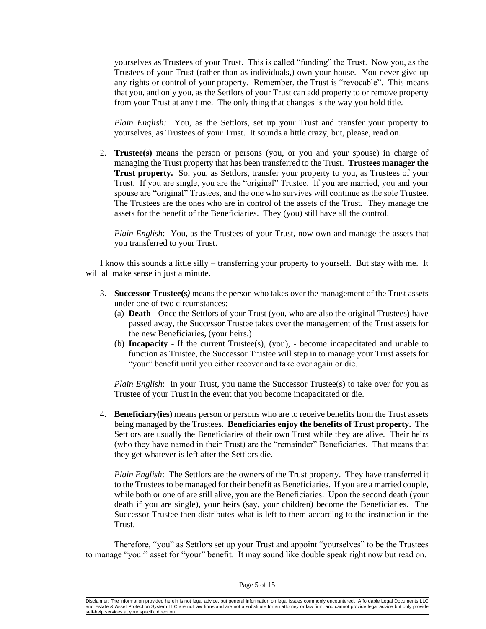yourselves as Trustees of your Trust. This is called "funding" the Trust. Now you, as the Trustees of your Trust (rather than as individuals,) own your house. You never give up any rights or control of your property. Remember, the Trust is "revocable". This means that you, and only you, as the Settlors of your Trust can add property to or remove property from your Trust at any time. The only thing that changes is the way you hold title.

*Plain English:* You, as the Settlors, set up your Trust and transfer your property to yourselves, as Trustees of your Trust. It sounds a little crazy, but, please, read on.

2. **Trustee(s)** means the person or persons (you, or you and your spouse) in charge of managing the Trust property that has been transferred to the Trust. **Trustees manager the Trust property.** So, you, as Settlors, transfer your property to you, as Trustees of your Trust. If you are single, you are the "original" Trustee. If you are married, you and your spouse are "original" Trustees, and the one who survives will continue as the sole Trustee. The Trustees are the ones who are in control of the assets of the Trust. They manage the assets for the benefit of the Beneficiaries. They (you) still have all the control.

*Plain English*: You, as the Trustees of your Trust, now own and manage the assets that you transferred to your Trust.

I know this sounds a little silly – transferring your property to yourself. But stay with me. It will all make sense in just a minute.

- 3. **Successor Trustee(s***)* means the person who takes over the management of the Trust assets under one of two circumstances:
	- (a) **Death** Once the Settlors of your Trust (you, who are also the original Trustees) have passed away, the Successor Trustee takes over the management of the Trust assets for the new Beneficiaries, (your heirs.)
	- (b) **Incapacity** If the current Trustee(s), (you), become incapacitated and unable to function as Trustee, the Successor Trustee will step in to manage your Trust assets for "your" benefit until you either recover and take over again or die.

*Plain English*: In your Trust, you name the Successor Trustee(s) to take over for you as Trustee of your Trust in the event that you become incapacitated or die.

4. **Beneficiary(ies)** means person or persons who are to receive benefits from the Trust assets being managed by the Trustees. **Beneficiaries enjoy the benefits of Trust property.** The Settlors are usually the Beneficiaries of their own Trust while they are alive. Their heirs (who they have named in their Trust) are the "remainder" Beneficiaries. That means that they get whatever is left after the Settlors die.

*Plain English*: The Settlors are the owners of the Trust property. They have transferred it to the Trustees to be managed for their benefit as Beneficiaries. If you are a married couple, while both or one of are still alive, you are the Beneficiaries. Upon the second death (your death if you are single), your heirs (say, your children) become the Beneficiaries. The Successor Trustee then distributes what is left to them according to the instruction in the Trust.

Therefore, "you" as Settlors set up your Trust and appoint "yourselves" to be the Trustees to manage "your" asset for "your" benefit. It may sound like double speak right now but read on.

#### Page 5 of 15

Disclaimer: The information provided herein is not legal advice, but general information on legal issues commonly encountered. Affordable Legal Documents LLC and Estate & Asset Protection System LLC are not law firms and are not a substitute for an attorney or law firm, and cannot provide legal advice but only provide self-help services at your specific dire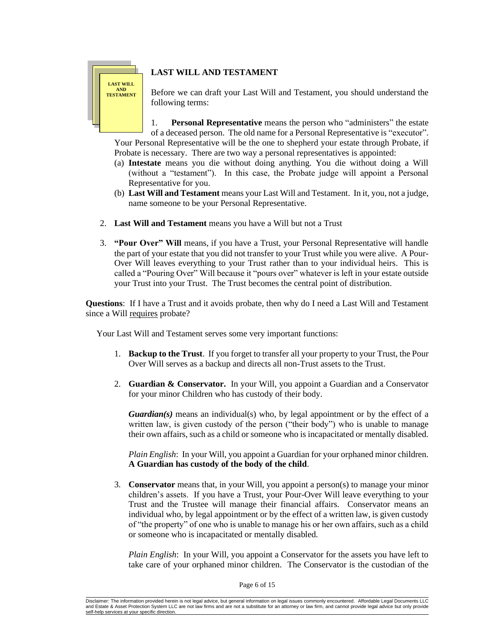# **LAST WILL AND TESTAMENT**

# **LAST WILL AND TESTAMENT**

Before we can draft your Last Will and Testament, you should understand the following terms:

1. **Personal Representative** means the person who "administers" the estate of a deceased person. The old name for a Personal Representative is "executor". Your Personal Representative will be the one to shepherd your estate through Probate, if Probate is necessary. There are two way a personal representatives is appointed:

- (a) **Intestate** means you die without doing anything. You die without doing a Will (without a "testament"). In this case, the Probate judge will appoint a Personal Representative for you.
- (b) **Last Will and Testament** means your Last Will and Testament. In it, you, not a judge, name someone to be your Personal Representative.
- 2. **Last Will and Testament** means you have a Will but not a Trust
- 3. **"Pour Over" Will** means, if you have a Trust, your Personal Representative will handle the part of your estate that you did not transfer to your Trust while you were alive. A Pour-Over Will leaves everything to your Trust rather than to your individual heirs. This is called a "Pouring Over" Will because it "pours over" whatever is left in your estate outside your Trust into your Trust. The Trust becomes the central point of distribution.

**Questions**: If I have a Trust and it avoids probate, then why do I need a Last Will and Testament since a Will requires probate?

Your Last Will and Testament serves some very important functions:

- 1. **Backup to the Trust**. If you forget to transfer all your property to your Trust, the Pour Over Will serves as a backup and directs all non-Trust assets to the Trust.
- 2. **Guardian & Conservator.** In your Will, you appoint a Guardian and a Conservator for your minor Children who has custody of their body.

*Guardian(s)* means an individual(s) who, by legal appointment or by the effect of a written law, is given custody of the person ("their body") who is unable to manage their own affairs, such as a child or someone who is incapacitated or mentally disabled.

*Plain English*: In your Will, you appoint a Guardian for your orphaned minor children. **A Guardian has custody of the body of the child**.

3. **Conservator** means that, in your Will, you appoint a person(s) to manage your minor children's assets. If you have a Trust, your Pour-Over Will leave everything to your Trust and the Trustee will manage their financial affairs. Conservator means an individual who, by legal appointment or by the effect of a written law, is given custody of "the property" of one who is unable to manage his or her own affairs, such as a child or someone who is incapacitated or mentally disabled.

*Plain English*: In your Will, you appoint a Conservator for the assets you have left to take care of your orphaned minor children. The Conservator is the custodian of the

Disclaimer: The information provided herein is not legal advice, but general information on legal issues commonly encountered. Affordable Legal Documents LLC and Estate & Asset Protection System LLC are not law firms and are not a substitute for an attorney or law firm, and cannot provide legal advice but only provide self-help services at your specific dire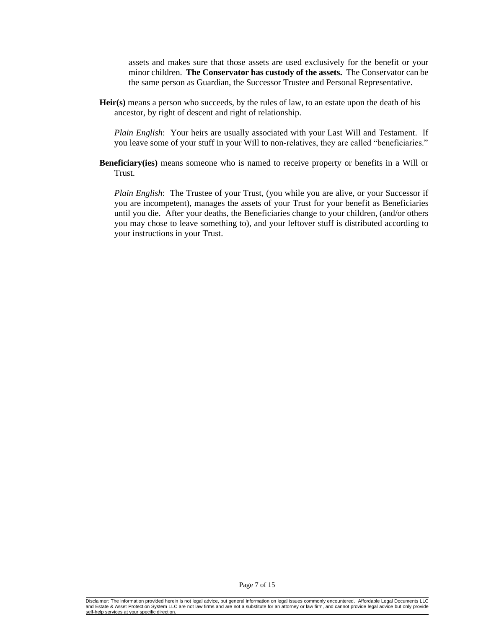assets and makes sure that those assets are used exclusively for the benefit or your minor children. **The Conservator has custody of the assets.** The Conservator can be the same person as Guardian, the Successor Trustee and Personal Representative.

**Heir(s)** means a person who succeeds, by the rules of law, to an estate upon the death of his ancestor, by right of descent and right of relationship.

*Plain English*: Your heirs are usually associated with your Last Will and Testament. If you leave some of your stuff in your Will to non-relatives, they are called "beneficiaries."

**Beneficiary(ies)** means someone who is named to receive property or benefits in a Will or Trust.

*Plain English*: The Trustee of your Trust, (you while you are alive, or your Successor if you are incompetent), manages the assets of your Trust for your benefit as Beneficiaries until you die. After your deaths, the Beneficiaries change to your children, (and/or others you may chose to leave something to), and your leftover stuff is distributed according to your instructions in your Trust.

Disclaimer: The information provided herein is not legal advice, but general information on legal issues commonly encountered. Affordable Legal Documents LLC and Estate & Asset Protection System LLC are not law firms and are not a substitute for an attorney or law firm, and cannot provide legal advice but only provide self-help services at your specific dire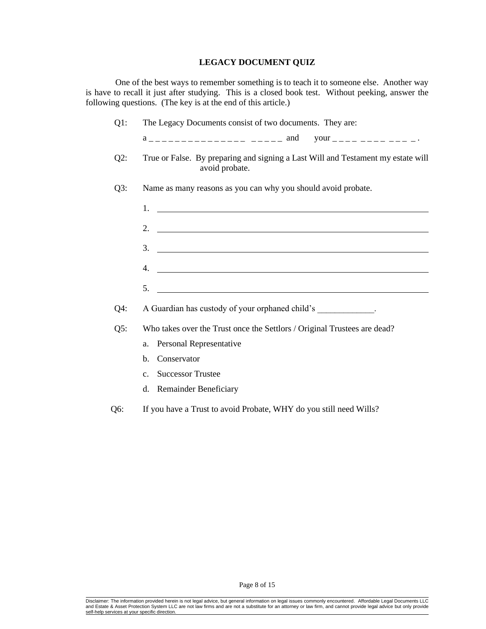# **LEGACY DOCUMENT QUIZ**

One of the best ways to remember something is to teach it to someone else. Another way is have to recall it just after studying. This is a closed book test. Without peeking, answer the following questions. (The key is at the end of this article.)

| $Q1$ : | The Legacy Documents consist of two documents. They are:                                                                    |
|--------|-----------------------------------------------------------------------------------------------------------------------------|
|        | $a$ <sub>--------------</sub> ----- and your <sub>-----</sub> ---------                                                     |
| $Q2$ : | True or False. By preparing and signing a Last Will and Testament my estate will<br>avoid probate.                          |
| $Q3$ : | Name as many reasons as you can why you should avoid probate.                                                               |
|        | 1.                                                                                                                          |
|        | 2. $\overline{\phantom{a}}$                                                                                                 |
|        | 3.<br><u> 1989 - Johann Harry Harry Harry Harry Harry Harry Harry Harry Harry Harry Harry Harry Harry Harry Harry Harry</u> |
|        | <u> 1989 - Andrea Stadt Britain, amerikansk politiker (</u><br>4.                                                           |
|        | 5.<br><u> 1989 - Johann Stoff, Amerikaansk politiker (* 1958)</u>                                                           |
| $Q4$ : | A Guardian has custody of your orphaned child's ____________.                                                               |
| Q5:    | Who takes over the Trust once the Settlors / Original Trustees are dead?                                                    |
|        | Personal Representative<br>a.                                                                                               |
|        | Conservator<br>b.                                                                                                           |
|        | <b>Successor Trustee</b><br>C <sub>1</sub>                                                                                  |
|        | d. Remainder Beneficiary                                                                                                    |

Q6: If you have a Trust to avoid Probate, WHY do you still need Wills?

Page 8 of 15

Disclaimer: The information provided herein is not legal advice, but general information on legal issues commonly encountered. Affordable Legal Documents LLC<br>and Estate & Asset Protection System LLC are not law firms and a self-help services at your specific direction.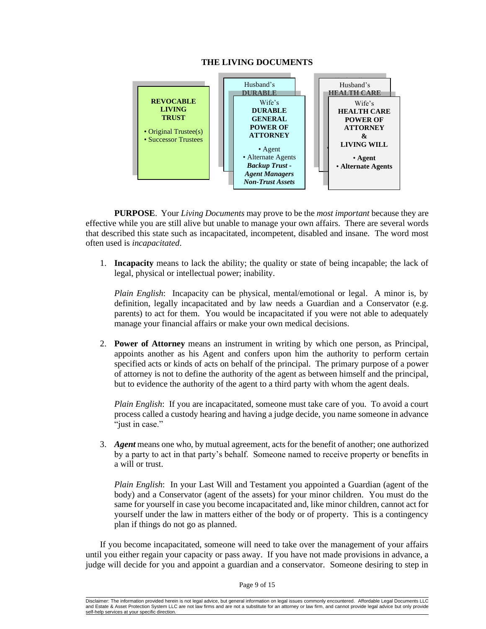#### **THE LIVING DOCUMENTS**



**PURPOSE**. Your *Living Documents* may prove to be the *most important* because they are effective while you are still alive but unable to manage your own affairs. There are several words that described this state such as incapacitated, incompetent, disabled and insane. The word most often used is *incapacitated*.

1. **Incapacity** means to lack the ability; the quality or state of being incapable; the lack of legal, physical or intellectual power; inability.

*Plain English*: Incapacity can be physical, mental/emotional or legal. A minor is, by definition, legally incapacitated and by law needs a Guardian and a Conservator (e.g. parents) to act for them. You would be incapacitated if you were not able to adequately manage your financial affairs or make your own medical decisions.

2. **Power of Attorney** means an instrument in writing by which one person, as Principal, appoints another as his Agent and confers upon him the authority to perform certain specified acts or kinds of acts on behalf of the principal. The primary purpose of a power of attorney is not to define the authority of the agent as between himself and the principal, but to evidence the authority of the agent to a third party with whom the agent deals.

*Plain English*: If you are incapacitated, someone must take care of you. To avoid a court process called a custody hearing and having a judge decide, you name someone in advance "just in case."

3. *Agent* means one who, by mutual agreement, acts for the benefit of another; one authorized by a party to act in that party's behalf. Someone named to receive property or benefits in a will or trust.

*Plain English*: In your Last Will and Testament you appointed a Guardian (agent of the body) and a Conservator (agent of the assets) for your minor children. You must do the same for yourself in case you become incapacitated and, like minor children, cannot act for yourself under the law in matters either of the body or of property. This is a contingency plan if things do not go as planned.

If you become incapacitated, someone will need to take over the management of your affairs until you either regain your capacity or pass away. If you have not made provisions in advance, a judge will decide for you and appoint a guardian and a conservator. Someone desiring to step in

Disclaimer: The information provided herein is not legal advice, but general information on legal issues commonly encountered. Affordable Legal Documents LLC and Estate & Asset Protection System LLC are not law firms and are not a substitute for an attorney or law firm, and cannot provide legal advice but only provide<br>self-help services at your specific direction. self-help services at your specific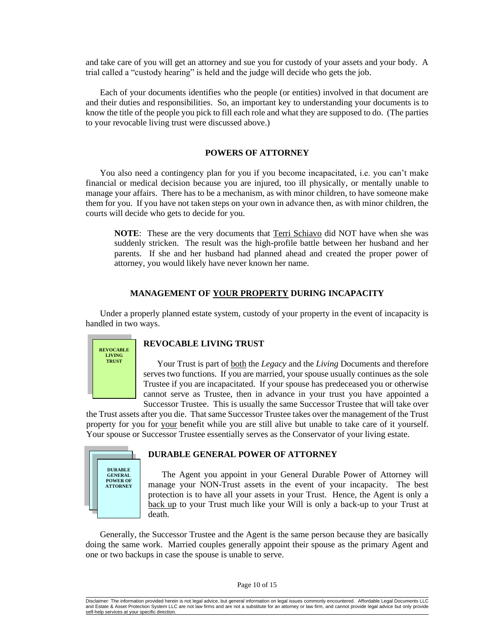and take care of you will get an attorney and sue you for custody of your assets and your body. A trial called a "custody hearing" is held and the judge will decide who gets the job.

Each of your documents identifies who the people (or entities) involved in that document are and their duties and responsibilities. So, an important key to understanding your documents is to know the title of the people you pick to fill each role and what they are supposed to do. (The parties to your revocable living trust were discussed above.)

# **POWERS OF ATTORNEY**

You also need a contingency plan for you if you become incapacitated, i.e. you can't make financial or medical decision because you are injured, too ill physically, or mentally unable to manage your affairs. There has to be a mechanism, as with minor children, to have someone make them for you. If you have not taken steps on your own in advance then, as with minor children, the courts will decide who gets to decide for you.

**NOTE**: These are the very documents that Terri Schiavo did NOT have when she was suddenly stricken. The result was the high-profile battle between her husband and her parents. If she and her husband had planned ahead and created the proper power of attorney, you would likely have never known her name.

#### **MANAGEMENT OF YOUR PROPERTY DURING INCAPACITY**

Under a properly planned estate system, custody of your property in the event of incapacity is handled in two ways.



#### **REVOCABLE LIVING TRUST**

Your Trust is part of both the *Legacy* and the *Living* Documents and therefore serves two functions. If you are married, your spouse usually continues as the sole Trustee if you are incapacitated. If your spouse has predeceased you or otherwise cannot serve as Trustee, then in advance in your trust you have appointed a Successor Trustee. This is usually the same Successor Trustee that will take over

the Trust assets after you die. That same Successor Trustee takes over the management of the Trust property for you for your benefit while you are still alive but unable to take care of it yourself. Your spouse or Successor Trustee essentially serves as the Conservator of your living estate.



# **DURABLE GENERAL POWER OF ATTORNEY**

The Agent you appoint in your General Durable Power of Attorney will manage your NON-Trust assets in the event of your incapacity. The best protection is to have all your assets in your Trust. Hence, the Agent is only a back up to your Trust much like your Will is only a back-up to your Trust at death.

Generally, the Successor Trustee and the Agent is the same person because they are basically doing the same work. Married couples generally appoint their spouse as the primary Agent and one or two backups in case the spouse is unable to serve.

#### Page 10 of 15

Disclaimer: The information provided herein is not legal advice, but general information on legal issues commonly encountered. Affordable Legal Documents LLC and Estate & Asset Protection System LLC are not law firms and are not a substitute for an attorney or law firm, and cannot provide legal advice but only provide self-help services at your specific dire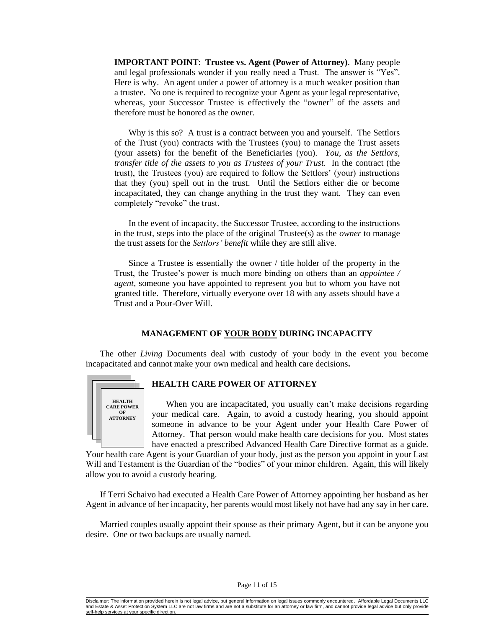**IMPORTANT POINT**: **Trustee vs. Agent (Power of Attorney)**. Many people and legal professionals wonder if you really need a Trust. The answer is "Yes". Here is why. An agent under a power of attorney is a much weaker position than a trustee. No one is required to recognize your Agent as your legal representative, whereas, your Successor Trustee is effectively the "owner" of the assets and therefore must be honored as the owner.

Why is this so?  $\underline{A}$  trust is a contract between you and yourself. The Settlors of the Trust (you) contracts with the Trustees (you) to manage the Trust assets (your assets) for the benefit of the Beneficiaries (you). *You, as the Settlors, transfer title of the assets to you as Trustees of your Trust.* In the contract (the trust), the Trustees (you) are required to follow the Settlors' (your) instructions that they (you) spell out in the trust. Until the Settlors either die or become incapacitated, they can change anything in the trust they want. They can even completely "revoke" the trust.

In the event of incapacity, the Successor Trustee, according to the instructions in the trust, steps into the place of the original Trustee(s) as the *owner* to manage the trust assets for the *Settlors' benefit* while they are still alive.

Since a Trustee is essentially the owner / title holder of the property in the Trust, the Trustee's power is much more binding on others than an *appointee / agent*, someone you have appointed to represent you but to whom you have not granted title. Therefore, virtually everyone over 18 with any assets should have a Trust and a Pour-Over Will.

## **MANAGEMENT OF YOUR BODY DURING INCAPACITY**

The other *Living* Documents deal with custody of your body in the event you become incapacitated and cannot make your own medical and health care decisions**.**



#### **HEALTH CARE POWER OF ATTORNEY**

When you are incapacitated, you usually can't make decisions regarding your medical care. Again, to avoid a custody hearing, you should appoint someone in advance to be your Agent under your Health Care Power of Attorney. That person would make health care decisions for you. Most states have enacted a prescribed Advanced Health Care Directive format as a guide.

Your health care Agent is your Guardian of your body, just as the person you appoint in your Last Will and Testament is the Guardian of the "bodies" of your minor children. Again, this will likely allow you to avoid a custody hearing.

If Terri Schaivo had executed a Health Care Power of Attorney appointing her husband as her Agent in advance of her incapacity, her parents would most likely not have had any say in her care.

Married couples usually appoint their spouse as their primary Agent, but it can be anyone you desire. One or two backups are usually named.

Disclaimer: The information provided herein is not legal advice, but general information on legal issues commonly encountered. Affordable Legal Documents LLC and Estate & Asset Protection System LLC are not law firms and are not a substitute for an attorney or law firm, and cannot provide legal advice but only provide self-help services at your specific dire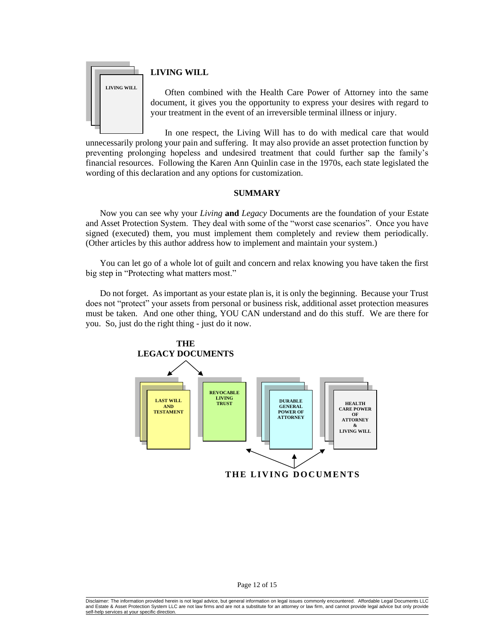

# **LIVING WILL**

Often combined with the Health Care Power of Attorney into the same document, it gives you the opportunity to express your desires with regard to your treatment in the event of an irreversible terminal illness or injury.

In one respect, the Living Will has to do with medical care that would unnecessarily prolong your pain and suffering. It may also provide an asset protection function by preventing prolonging hopeless and undesired treatment that could further sap the family's financial resources. Following the Karen Ann Quinlin case in the 1970s, each state legislated the wording of this declaration and any options for customization.

# **SUMMARY**

Now you can see why your *Living* **and** *Legacy* Documents are the foundation of your Estate and Asset Protection System. They deal with some of the "worst case scenarios". Once you have signed (executed) them, you must implement them completely and review them periodically. (Other articles by this author address how to implement and maintain your system.)

You can let go of a whole lot of guilt and concern and relax knowing you have taken the first big step in "Protecting what matters most."

Do not forget. As important as your estate plan is, it is only the beginning. Because your Trust does not "protect" your assets from personal or business risk, additional asset protection measures must be taken. And one other thing, YOU CAN understand and do this stuff. We are there for you. So, just do the right thing - just do it now.



Disclaimer: The information provided herein is not legal advice, but general information on legal issues commonly encountered. Affordable Legal Documents LLC and Estate & Asset Protection System LLC are not law firms and are not a substitute for an attorney or law firm, and cannot provide legal advice but only provide<br>self-help services at your specific direction. elf-help services at your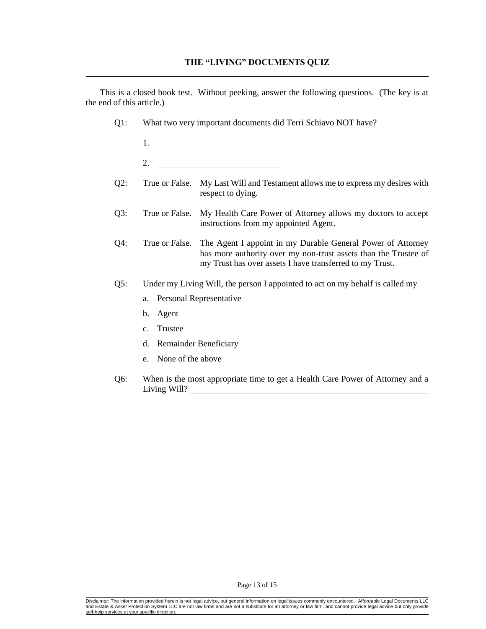This is a closed book test. Without peeking, answer the following questions. (The key is at the end of this article.)

- Q1: What two very important documents did Terri Schiavo NOT have?
	- 1.
	- 2.
- Q2: True or False. My Last Will and Testament allows me to express my desires with respect to dying.
- Q3: True or False. My Health Care Power of Attorney allows my doctors to accept instructions from my appointed Agent.
- Q4: True or False. The Agent I appoint in my Durable General Power of Attorney has more authority over my non-trust assets than the Trustee of my Trust has over assets I have transferred to my Trust.
- Q5: Under my Living Will, the person I appointed to act on my behalf is called my
	- a. Personal Representative
	- b. Agent
	- c. Trustee
	- d. Remainder Beneficiary
	- e. None of the above
- Q6: When is the most appropriate time to get a Health Care Power of Attorney and a Living Will?

Page 13 of 15

Disclaimer: The information provided herein is not legal advice, but general information on legal issues commonly encountered. Affordable Legal Documents LLC<br>and Estate & Asset Protection System LLC are not law firms and a self-help services at your specific dire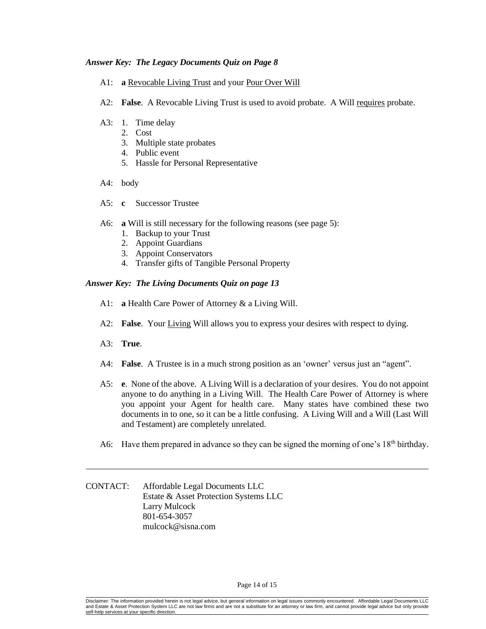## *Answer Key: The Legacy Documents Quiz on Page 8*

- A1: **a** Revocable Living Trust and your Pour Over Will
- A2: **False**. A Revocable Living Trust is used to avoid probate. A Will requires probate.
- A3: 1. Time delay
	- 2. Cost
	- 3. Multiple state probates
	- 4. Public event
	- 5. Hassle for Personal Representative
- A4: body
- A5: **c** Successor Trustee
- A6: **a** Will is still necessary for the following reasons (see page 5):
	- 1. Backup to your Trust
	- 2. Appoint Guardians
	- 3. Appoint Conservators
	- 4. Transfer gifts of Tangible Personal Property

# *Answer Key: The Living Documents Quiz on page 13*

- A1: **a** Health Care Power of Attorney & a Living Will.
- A2: **False**. Your Living Will allows you to express your desires with respect to dying.
- A3: **True**.
- A4: **False**. A Trustee is in a much strong position as an 'owner' versus just an "agent".
- A5: **e**. None of the above. A Living Will is a declaration of your desires. You do not appoint anyone to do anything in a Living Will. The Health Care Power of Attorney is where you appoint your Agent for health care. Many states have combined these two documents in to one, so it can be a little confusing. A Living Will and a Will (Last Will and Testament) are completely unrelated.
- A6: Have them prepared in advance so they can be signed the morning of one's  $18<sup>th</sup>$  birthday.

CONTACT: Affordable Legal Documents LLC Estate & Asset Protection Systems LLC Larry Mulcock 801-654-3057 mulcock@sisna.com

Disclaimer: The information provided herein is not legal advice, but general information on legal issues commonly encountered. Affordable Legal Documents LLC and Estate & Asset Protection System LLC are not law firms and are not a substitute for an attorney or law firm, and cannot provide legal advice but only provide self-help services at your specific dire